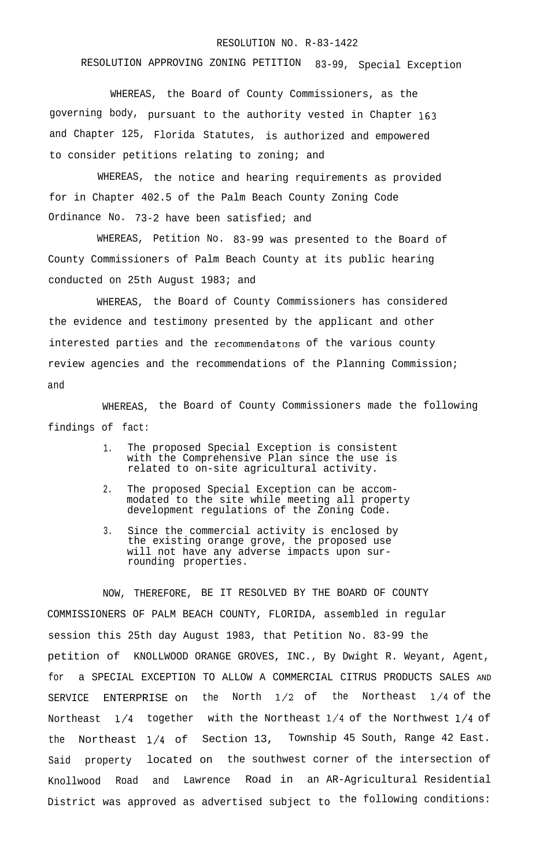## RESOLUTION NO. R-83-1422

RESOLUTION APPROVING ZONING PETITION 83-99, Special Exception

WHEREAS, the Board of County Commissioners, as the governing body, pursuant to the authority vested in Chapter 163 and Chapter 125, Florida Statutes, is authorized and empowered to consider petitions relating to zoning; and

WHEREAS, the notice and hearing requirements as provided for in Chapter 402.5 of the Palm Beach County Zoning Code Ordinance No. 73-2 have been satisfied; and

WHEREAS, Petition No. 83-99 was presented to the Board of County Commissioners of Palm Beach County at its public hearing conducted on 25th August 1983; and

WHEREAS, the Board of County Commissioners has considered the evidence and testimony presented by the applicant and other interested parties and the recommendatons of the various county review agencies and the recommendations of the Planning Commission; and

WHEREAS, the Board of County Commissioners made the following findings of fact:

- 1. The proposed Special Exception is consistent with the Comprehensive Plan since the use is related to on-site agricultural activity.
- 2. The proposed Special Exception can be accommodated to the site while meeting all property development regulations of the Zoning Code.
- 3. Since the commercial activity is enclosed by the existing orange grove, the proposed use will not have any adverse impacts upon surrounding properties.

NOW, THEREFORE, BE IT RESOLVED BY THE BOARD OF COUNTY COMMISSIONERS OF PALM BEACH COUNTY, FLORIDA, assembled in regular session this 25th day August 1983, that Petition No. 83-99 the petition of KNOLLWOOD ORANGE GROVES, INC., By Dwight R. Weyant, Agent, for a SPECIAL EXCEPTION TO ALLOW A COMMERCIAL CITRUS PRODUCTS SALES AND SERVICE ENTERPRISE on the North l/2 of the Northeast l/4 of the Northeast l/4 together with the Northeast l/4 of the Northwest l/4 of the Northeast l/4 of Section 13, Township 45 South, Range 42 East. Said property located on the southwest corner of the intersection of Knollwood Road and Lawrence Road in an AR-Agricultural Residential District was approved as advertised subject to the following conditions: